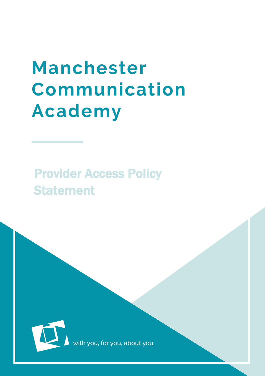# **Manchester** Communication **Academy**

# Provider Access Policy **Statement**



with you, for you, about you.

MCA  $\sim$  Provider Access Policy Statement 1 and  $\sim$  Provider Access Policy Statement 1 and  $\sim$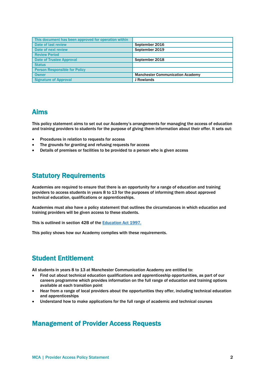| This document has been approved for operation within |                                         |
|------------------------------------------------------|-----------------------------------------|
| Date of last review                                  | September 2016                          |
| Date of next review                                  | September 2019                          |
| <b>Review Period</b>                                 |                                         |
| <b>Date of Trustee Approval</b>                      | September 2018                          |
| <b>Status</b>                                        |                                         |
| <b>Person Responsible for Policy</b>                 |                                         |
| <b>Owner</b>                                         | <b>Manchester Communication Academy</b> |
| <b>Signature of Approval</b>                         | J Rowlands                              |

#### Aims

This policy statement aims to set out our Academy's arrangements for managing the access of education and training providers to students for the purpose of giving them information about their offer. It sets out:

- Procedures in relation to requests for access
- The grounds for granting and refusing requests for access
- Details of premises or facilities to be provided to a person who is given access

### Statutory Requirements

Academies are required to ensure that there is an opportunity for a range of education and training providers to access students in years 8 to 13 for the purposes of informing them about approved technical education, qualifications or apprenticeships.

Academies must also have a policy statement that outlines the circumstances in which education and training providers will be given access to these students.

This is outlined in section 42B of the [Education Act 1997.](https://www.legislation.gov.uk/ukpga/1997/44/section/42B)

This policy shows how our Academy complies with these requirements.

# Student Entitlement

All students in years 8 to 13 at Manchester Communication Academy are entitled to:

- Find out about technical education qualifications and apprenticeship opportunities, as part of our careers programme which provides information on the full range of education and training options available at each transition point
- Hear from a range of local providers about the opportunities they offer, including technical education and apprenticeships
- Understand how to make applications for the full range of academic and technical courses

#### Management of Provider Access Requests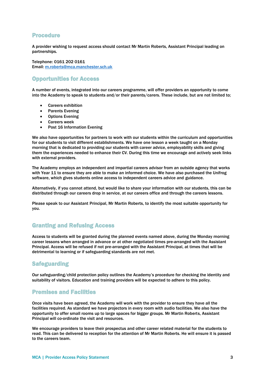#### Procedure

A provider wishing to request access should contact Mr Martin Roberts, Assistant Principal leading on partnerships.

Telephone: 0161 202 0161 Email: [m.roberts@mca.manchester.sch.uk](mailto:m.roberts@mca.manchester.sch.uk)

#### Opportunities for Access

A number of events, integrated into our careers programme, will offer providers an opportunity to come into the Academy to speak to students and/or their parents/carers. These include, but are not limited to;

- Careers exhibition
- Parents Evening
- Options Evening
- Careers week
- Post 16 Information Evening

We also have opportunities for partners to work with our students within the curriculum and opportunities for our students to visit different establishments. We have one lesson a week taught on a Monday morning that is dedicated to providing our students with career advice, employability skills and giving them the experiences needed to enhance their CV. During this time we encourage and actively seek links with external providers.

The Academy employs an independent and impartial careers advisor from an outside agency that works with Year 11 to ensure they are able to make an informed choice. We have also purchased the Unifrog software, which gives students online access to independent careers advice and guidance.

Alternatively, if you cannot attend, but would like to share your information with our students, this can be distributed through our careers drop in service, at our careers office and through the careers lessons.

Please speak to our Assistant Principal, Mr Martin Roberts, to identify the most suitable opportunity for you.

#### Granting and Refusing Access

Access to students will be granted during the planned events named above, during the Monday morning career lessons when arranged in advance or at other negotiated times pre-arranged with the Assistant Principal. Access will be refused if not pre-arranged with the Assistant Principal, at times that will be detrimental to learning or if safeguarding standards are not met.

#### **Safeguarding**

Our safeguarding/child protection policy outlines the Academy's procedure for checking the identity and suitability of visitors. Education and training providers will be expected to adhere to this policy.

#### Premises and Facilities

Once visits have been agreed, the Academy will work with the provider to ensure they have all the facilities required. As standard we have projectors in every room with audio facilities. We also have the opportunity to offer small rooms up to large spaces for bigger groups. Mr Martin Roberts, Assistant Principal will co-ordinate the visit and resources.

We encourage providers to leave their prospectus and other career related material for the students to read. This can be delivered to reception for the attention of Mr Martin Roberts. He will ensure it is passed to the careers team.